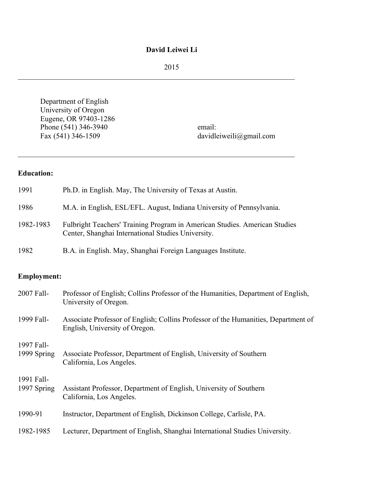## **David Leiwei Li**

2015

 $\mathcal{L}_\text{max}$  , and the contribution of the contribution of the contribution of the contribution of the contribution of the contribution of the contribution of the contribution of the contribution of the contribution of t

Department of English University of Oregon Eugene, OR 97403-1286 Phone (541) 346-3940 email:

Fax (541) 346-1509 davidleiweili@gmail.com

# **Education:**

| 1991      | Ph.D. in English. May, The University of Texas at Austin.                                                                        |
|-----------|----------------------------------------------------------------------------------------------------------------------------------|
| 1986      | M.A. in English, ESL/EFL. August, Indiana University of Pennsylvania.                                                            |
| 1982-1983 | Fulbright Teachers' Training Program in American Studies. American Studies<br>Center, Shanghai International Studies University. |
| 1982      | B.A. in English. May, Shanghai Foreign Languages Institute.                                                                      |

 $\mathcal{L}_\text{max}$  , and the contribution of the contribution of the contribution of the contribution of the contribution of the contribution of the contribution of the contribution of the contribution of the contribution of t

# **Employment:**

| 2007 Fall-                | Professor of English; Collins Professor of the Humanities, Department of English,<br>University of Oregon.           |
|---------------------------|----------------------------------------------------------------------------------------------------------------------|
| 1999 Fall-                | Associate Professor of English; Collins Professor of the Humanities, Department of<br>English, University of Oregon. |
| 1997 Fall-<br>1999 Spring | Associate Professor, Department of English, University of Southern<br>California, Los Angeles.                       |
| 1991 Fall-<br>1997 Spring | Assistant Professor, Department of English, University of Southern<br>California, Los Angeles.                       |
| 1990-91                   | Instructor, Department of English, Dickinson College, Carlisle, PA.                                                  |
| 1982-1985                 | Lecturer, Department of English, Shanghai International Studies University.                                          |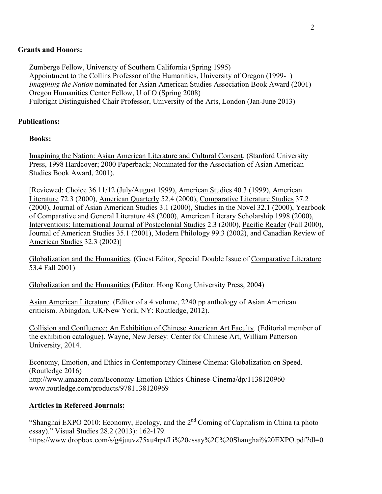### **Grants and Honors:**

Zumberge Fellow, University of Southern California (Spring 1995) Appointment to the Collins Professor of the Humanities, University of Oregon (1999- ) *Imagining the Nation* nominated for Asian American Studies Association Book Award (2001) Oregon Humanities Center Fellow, U of O (Spring 2008) Fulbright Distinguished Chair Professor, University of the Arts, London (Jan-June 2013)

## **Publications:**

## **Books:**

Imagining the Nation: Asian American Literature and Cultural Consent*.* (Stanford University Press, 1998 Hardcover; 2000 Paperback; Nominated for the Association of Asian American Studies Book Award, 2001).

[Reviewed: Choice 36.11/12 (July/August 1999), American Studies 40.3 (1999), American Literature 72.3 (2000), American Quarterly 52.4 (2000), Comparative Literature Studies 37.2 (2000), Journal of Asian American Studies 3.1 (2000), Studies in the Novel 32.1 (2000), Yearbook of Comparative and General Literature 48 (2000), American Literary Scholarship 1998 (2000), Interventions: International Journal of Postcolonial Studies 2.3 (2000), Pacific Reader (Fall 2000), Journal of American Studies 35.1 (2001), Modern Philology 99.3 (2002), and Canadian Review of American Studies 32.3 (2002)]

Globalization and the Humanities. (Guest Editor, Special Double Issue of Comparative Literature 53.4 Fall 2001)

Globalization and the Humanities (Editor. Hong Kong University Press, 2004)

Asian American Literature. (Editor of a 4 volume, 2240 pp anthology of Asian American criticism. Abingdon, UK/New York, NY: Routledge, 2012).

Collision and Confluence: An Exhibition of Chinese American Art Faculty*.* (Editorial member of the exhibition catalogue). Wayne, New Jersey: Center for Chinese Art, William Patterson University, 2014.

Economy, Emotion, and Ethics in Contemporary Chinese Cinema: Globalization on Speed. (Routledge 2016) http://www.amazon.com/Economy-Emotion-Ethics-Chinese-Cinema/dp/1138120960 www.routledge.com/products/9781138120969

### **Articles in Refereed Journals:**

"Shanghai EXPO 2010: Economy, Ecology, and the 2<sup>nd</sup> Coming of Capitalism in China (a photo essay)." Visual Studies 28.2 (2013): 162-179. https://www.dropbox.com/s/g4juuvz75xu4rpt/Li%20essay%2C%20Shanghai%20EXPO.pdf?dl=0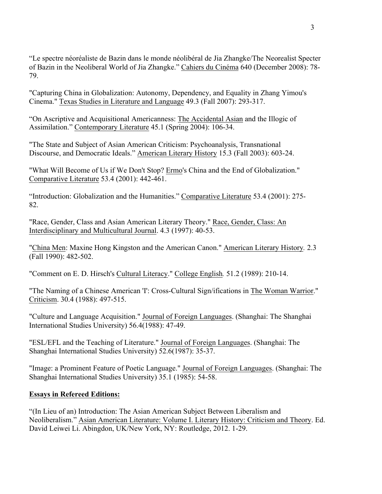"Le spectre néoréaliste de Bazin dans le monde néolibéral de Jia Zhangke/The Neorealist Specter of Bazin in the Neoliberal World of Jia Zhangke." Cahiers du Cinéma 640 (December 2008): 78- 79.

"Capturing China in Globalization: Autonomy, Dependency, and Equality in Zhang Yimou's Cinema." Texas Studies in Literature and Language 49.3 (Fall 2007): 293-317.

"On Ascriptive and Acquisitional Americanness: The Accidental Asian and the Illogic of Assimilation." Contemporary Literature 45.1 (Spring 2004): 106-34.

"The State and Subject of Asian American Criticism: Psychoanalysis, Transnational Discourse, and Democratic Ideals." American Literary History 15.3 (Fall 2003): 603-24.

"What Will Become of Us if We Don't Stop? Ermo's China and the End of Globalization." Comparative Literature 53.4 (2001): 442-461.

"Introduction: Globalization and the Humanities." Comparative Literature 53.4 (2001): 275- 82.

"Race, Gender, Class and Asian American Literary Theory." Race, Gender, Class: An Interdisciplinary and Multicultural Journal. 4.3 (1997): 40-53.

"China Men: Maxine Hong Kingston and the American Canon." American Literary History*.* 2.3 (Fall 1990): 482-502.

"Comment on E. D. Hirsch's Cultural Literacy." College English*.* 51.2 (1989): 210-14.

"The Naming of a Chinese American 'I': Cross-Cultural Sign/ifications in The Woman Warrior." Criticism. 30.4 (1988): 497-515.

"Culture and Language Acquisition." Journal of Foreign Languages. (Shanghai: The Shanghai International Studies University) 56.4(1988): 47-49.

"ESL/EFL and the Teaching of Literature." Journal of Foreign Languages. (Shanghai: The Shanghai International Studies University) 52.6(1987): 35-37.

"Image: a Prominent Feature of Poetic Language." Journal of Foreign Languages. (Shanghai: The Shanghai International Studies University) 35.1 (1985): 54-58.

## **Essays in Refereed Editions:**

"(In Lieu of an) Introduction: The Asian American Subject Between Liberalism and Neoliberalism." Asian American Literature: Volume I. Literary History: Criticism and Theory. Ed. David Leiwei Li. Abingdon, UK/New York, NY: Routledge, 2012. 1-29.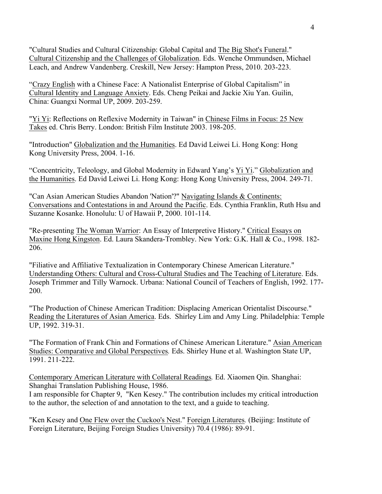"Cultural Studies and Cultural Citizenship: Global Capital and The Big Shot's Funeral." Cultural Citizenship and the Challenges of Globalization. Eds. Wenche Ommundsen, Michael Leach, and Andrew Vandenberg. Creskill, New Jersey: Hampton Press, 2010. 203-223.

"Crazy English with a Chinese Face: A Nationalist Enterprise of Global Capitalism" in Cultural Identity and Language Anxiety. Eds. Cheng Peikai and Jackie Xiu Yan. Guilin, China: Guangxi Normal UP, 2009. 203-259.

"Yi Yi: Reflections on Reflexive Modernity in Taiwan" in Chinese Films in Focus: 25 New Takes ed. Chris Berry. London: British Film Institute 2003. 198-205.

"Introduction" Globalization and the Humanities. Ed David Leiwei Li. Hong Kong: Hong Kong University Press, 2004. 1-16.

"Concentricity, Teleology, and Global Modernity in Edward Yang's Yi Yi." Globalization and the Humanities. Ed David Leiwei Li. Hong Kong: Hong Kong University Press, 2004. 249-71.

"Can Asian American Studies Abandon 'Nation'?" Navigating Islands & Continents: Conversations and Contestations in and Around the Pacific. Eds. Cynthia Franklin, Ruth Hsu and Suzanne Kosanke. Honolulu: U of Hawaii P, 2000. 101-114.

"Re-presenting The Woman Warrior: An Essay of Interpretive History." Critical Essays on Maxine Hong Kingston. Ed. Laura Skandera-Trombley. New York: G.K. Hall & Co., 1998. 182- 206.

"Filiative and Affiliative Textualization in Contemporary Chinese American Literature." Understanding Others: Cultural and Cross-Cultural Studies and The Teaching of Literature. Eds. Joseph Trimmer and Tilly Warnock. Urbana: National Council of Teachers of English, 1992. 177- 200.

"The Production of Chinese American Tradition: Displacing American Orientalist Discourse." Reading the Literatures of Asian America. Eds. Shirley Lim and Amy Ling. Philadelphia: Temple UP, 1992. 319-31.

"The Formation of Frank Chin and Formations of Chinese American Literature." Asian American Studies: Comparative and Global Perspectives*.* Eds. Shirley Hune et al. Washington State UP, 1991. 211-222.

Contemporary American Literature with Collateral Readings*.* Ed. Xiaomen Qin. Shanghai: Shanghai Translation Publishing House, 1986.

I am responsible for Chapter 9, "Ken Kesey." The contribution includes my critical introduction to the author, the selection of and annotation to the text, and a guide to teaching.

"Ken Kesey and One Flew over the Cuckoo's Nest." Foreign Literatures*.* (Beijing: Institute of Foreign Literature, Beijing Foreign Studies University) 70.4 (1986): 89-91.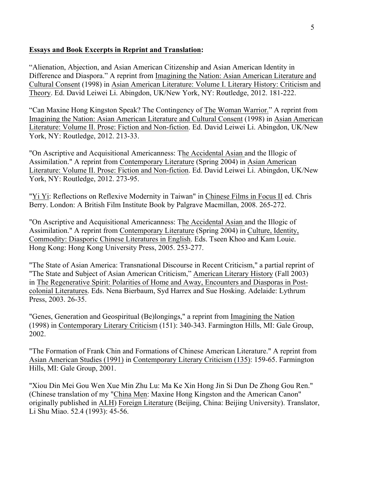## **Essays and Book Excerpts in Reprint and Translation:**

"Alienation, Abjection, and Asian American Citizenship and Asian American Identity in Difference and Diaspora." A reprint from Imagining the Nation: Asian American Literature and Cultural Consent (1998) in Asian American Literature: Volume I. Literary History: Criticism and Theory. Ed. David Leiwei Li. Abingdon, UK/New York, NY: Routledge, 2012. 181-222.

"Can Maxine Hong Kingston Speak? The Contingency of The Woman Warrior." A reprint from Imagining the Nation: Asian American Literature and Cultural Consent (1998) in Asian American Literature: Volume II. Prose: Fiction and Non-fiction. Ed. David Leiwei Li. Abingdon, UK/New York, NY: Routledge, 2012. 213-33.

"On Ascriptive and Acquisitional Americanness: The Accidental Asian and the Illogic of Assimilation." A reprint from Contemporary Literature (Spring 2004) in Asian American Literature: Volume II. Prose: Fiction and Non-fiction. Ed. David Leiwei Li. Abingdon, UK/New York, NY: Routledge, 2012. 273-95.

"Yi Yi: Reflections on Reflexive Modernity in Taiwan" in Chinese Films in Focus II ed. Chris Berry. London: A British Film Institute Book by Palgrave Macmillan, 2008. 265-272.

"On Ascriptive and Acquisitional Americanness: The Accidental Asian and the Illogic of Assimilation." A reprint from Contemporary Literature (Spring 2004) in Culture, Identity, Commodity: Diasporic Chinese Literatures in English. Eds. Tseen Khoo and Kam Louie. Hong Kong: Hong Kong University Press, 2005. 253-277.

"The State of Asian America: Transnational Discourse in Recent Criticism," a partial reprint of "The State and Subject of Asian American Criticism," American Literary History (Fall 2003) in The Regenerative Spirit: Polarities of Home and Away, Encounters and Diasporas in Postcolonial Literatures. Eds. Nena Bierbaum, Syd Harrex and Sue Hosking. Adelaide: Lythrum Press, 2003. 26-35.

"Genes, Generation and Geospiritual (Be)longings," a reprint from Imagining the Nation (1998) in Contemporary Literary Criticism (151): 340-343. Farmington Hills, MI: Gale Group, 2002.

"The Formation of Frank Chin and Formations of Chinese American Literature." A reprint from Asian American Studies (1991) in Contemporary Literary Criticism (135): 159-65. Farmington Hills, MI: Gale Group, 2001.

"Xiou Din Mei Gou Wen Xue Min Zhu Lu: Ma Ke Xin Hong Jin Si Dun De Zhong Gou Ren." (Chinese translation of my "China Men: Maxine Hong Kingston and the American Canon" originally published in ALH) Foreign Literature (Beijing, China: Beijing University). Translator, Li Shu Miao. 52.4 (1993): 45-56.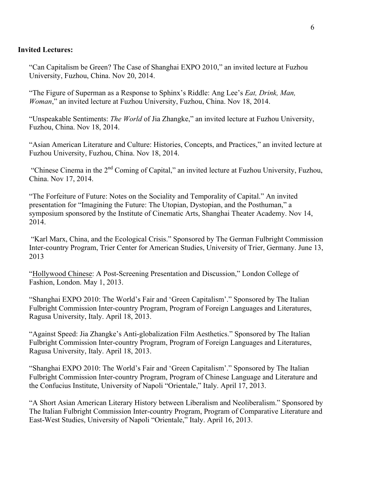### **Invited Lectures:**

"Can Capitalism be Green? The Case of Shanghai EXPO 2010," an invited lecture at Fuzhou University, Fuzhou, China. Nov 20, 2014.

"The Figure of Superman as a Response to Sphinx's Riddle: Ang Lee's *Eat, Drink, Man, Woman*," an invited lecture at Fuzhou University, Fuzhou, China. Nov 18, 2014.

"Unspeakable Sentiments: *The World* of Jia Zhangke," an invited lecture at Fuzhou University, Fuzhou, China. Nov 18, 2014.

"Asian American Literature and Culture: Histories, Concepts, and Practices," an invited lecture at Fuzhou University, Fuzhou, China. Nov 18, 2014.

"Chinese Cinema in the 2<sup>nd</sup> Coming of Capital," an invited lecture at Fuzhou University, Fuzhou, China. Nov 17, 2014.

"The Forfeiture of Future: Notes on the Sociality and Temporality of Capital." An invited presentation for "Imagining the Future: The Utopian, Dystopian, and the Posthuman," a symposium sponsored by the Institute of Cinematic Arts, Shanghai Theater Academy. Nov 14, 2014.

"Karl Marx, China, and the Ecological Crisis." Sponsored by The German Fulbright Commission Inter-country Program, Trier Center for American Studies, University of Trier, Germany. June 13, 2013

"Hollywood Chinese: A Post-Screening Presentation and Discussion," London College of Fashion, London. May 1, 2013.

"Shanghai EXPO 2010: The World's Fair and 'Green Capitalism'." Sponsored by The Italian Fulbright Commission Inter-country Program, Program of Foreign Languages and Literatures, Ragusa University, Italy. April 18, 2013.

"Against Speed: Jia Zhangke's Anti-globalization Film Aesthetics." Sponsored by The Italian Fulbright Commission Inter-country Program, Program of Foreign Languages and Literatures, Ragusa University, Italy. April 18, 2013.

"Shanghai EXPO 2010: The World's Fair and 'Green Capitalism'." Sponsored by The Italian Fulbright Commission Inter-country Program, Program of Chinese Language and Literature and the Confucius Institute, University of Napoli "Orientale," Italy. April 17, 2013.

"A Short Asian American Literary History between Liberalism and Neoliberalism." Sponsored by The Italian Fulbright Commission Inter-country Program, Program of Comparative Literature and East-West Studies, University of Napoli "Orientale," Italy. April 16, 2013.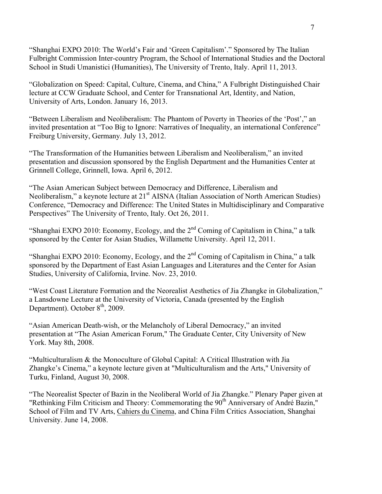"Shanghai EXPO 2010: The World's Fair and 'Green Capitalism'." Sponsored by The Italian Fulbright Commission Inter-country Program, the School of International Studies and the Doctoral School in Studi Umanistici (Humanities), The University of Trento, Italy. April 11, 2013.

"Globalization on Speed: Capital, Culture, Cinema, and China," A Fulbright Distinguished Chair lecture at CCW Graduate School, and Center for Transnational Art, Identity, and Nation, University of Arts, London. January 16, 2013.

"Between Liberalism and Neoliberalism: The Phantom of Poverty in Theories of the 'Post'," an invited presentation at "Too Big to Ignore: Narratives of Inequality, an international Conference" Freiburg University, Germany. July 13, 2012.

"The Transformation of the Humanities between Liberalism and Neoliberalism," an invited presentation and discussion sponsored by the English Department and the Humanities Center at Grinnell College, Grinnell, Iowa. April 6, 2012.

"The Asian American Subject between Democracy and Difference, Liberalism and Neoliberalism," a keynote lecture at 21<sup>st</sup> AISNA (Italian Association of North American Studies) Conference, "Democracy and Difference: The United States in Multidisciplinary and Comparative Perspectives" The University of Trento, Italy. Oct 26, 2011.

"Shanghai EXPO 2010: Economy, Ecology, and the  $2<sup>nd</sup>$  Coming of Capitalism in China," a talk sponsored by the Center for Asian Studies, Willamette University. April 12, 2011.

"Shanghai EXPO 2010: Economy, Ecology, and the  $2<sup>nd</sup>$  Coming of Capitalism in China," a talk sponsored by the Department of East Asian Languages and Literatures and the Center for Asian Studies, University of California, Irvine. Nov. 23, 2010.

"West Coast Literature Formation and the Neorealist Aesthetics of Jia Zhangke in Globalization," a Lansdowne Lecture at the University of Victoria, Canada (presented by the English Department). October  $8<sup>th</sup>$ , 2009.

"Asian American Death-wish, or the Melancholy of Liberal Democracy," an invited presentation at "The Asian American Forum," The Graduate Center, City University of New York. May 8th, 2008.

"Multiculturalism & the Monoculture of Global Capital: A Critical Illustration with Jia Zhangke's Cinema," a keynote lecture given at "Multiculturalism and the Arts," University of Turku, Finland, August 30, 2008.

"The Neorealist Specter of Bazin in the Neoliberal World of Jia Zhangke." Plenary Paper given at "Rethinking Film Criticism and Theory: Commemorating the 90<sup>th</sup> Anniversary of André Bazin," School of Film and TV Arts, Cahiers du Cinema, and China Film Critics Association, Shanghai University. June 14, 2008.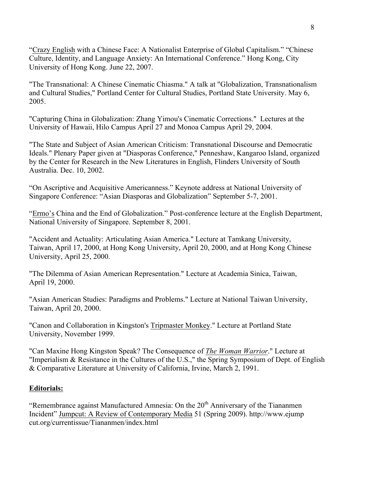"Crazy English with a Chinese Face: A Nationalist Enterprise of Global Capitalism." "Chinese Culture, Identity, and Language Anxiety: An International Conference." Hong Kong, City University of Hong Kong. June 22, 2007.

"The Transnational: A Chinese Cinematic Chiasma." A talk at "Globalization, Transnationalism and Cultural Studies," Portland Center for Cultural Studies, Portland State University. May 6, 2005.

"Capturing China in Globalization: Zhang Yimou's Cinematic Corrections." Lectures at the University of Hawaii, Hilo Campus April 27 and Monoa Campus April 29, 2004.

"The State and Subject of Asian American Criticism: Transnational Discourse and Democratic Ideals." Plenary Paper given at "Diasporas Conference," Penneshaw, Kangaroo Island, organized by the Center for Research in the New Literatures in English, Flinders University of South Australia. Dec. 10, 2002.

"On Ascriptive and Acquisitive Americanness." Keynote address at National University of Singapore Conference: "Asian Diasporas and Globalization" September 5-7, 2001.

"Ermo's China and the End of Globalization." Post-conference lecture at the English Department, National University of Singapore. September 8, 2001.

"Accident and Actuality: Articulating Asian America." Lecture at Tamkang University, Taiwan, April 17, 2000, at Hong Kong University, April 20, 2000, and at Hong Kong Chinese University, April 25, 2000.

"The Dilemma of Asian American Representation." Lecture at Academia Sinica, Taiwan, April 19, 2000.

"Asian American Studies: Paradigms and Problems." Lecture at National Taiwan University, Taiwan, April 20, 2000.

"Canon and Collaboration in Kingston's Tripmaster Monkey." Lecture at Portland State University, November 1999.

"Can Maxine Hong Kingston Speak? The Consequence of *The Woman Warrior*." Lecture at "Imperialism & Resistance in the Cultures of the U.S.," the Spring Symposium of Dept. of English & Comparative Literature at University of California, Irvine, March 2, 1991.

### **Editorials:**

"Remembrance against Manufactured Amnesia: On the  $20<sup>th</sup>$  Anniversary of the Tiananmen Incident" Jumpcut: A Review of Contemporary Media 51 (Spring 2009). http://www.ejump cut.org/currentissue/Tiananmen/index.html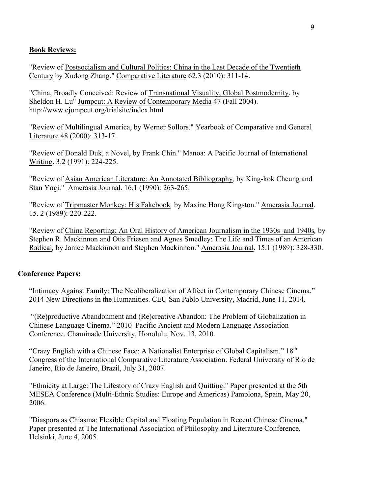### **Book Reviews:**

"Review of Postsocialism and Cultural Politics: China in the Last Decade of the Twentieth Century by Xudong Zhang." Comparative Literature 62.3 (2010): 311-14.

"China, Broadly Conceived: Review of Transnational Visuality, Global Postmodernity, by Sheldon H. Lu" Jumpcut: A Review of Contemporary Media 47 (Fall 2004). http://www.ejumpcut.org/trialsite/index.html

"Review of Multilingual America, by Werner Sollors." Yearbook of Comparative and General Literature 48 (2000): 313-17.

"Review of Donald Duk, a Novel, by Frank Chin." Manoa: A Pacific Journal of International Writing. 3.2 (1991): 224-225.

"Review of Asian American Literature: An Annotated Bibliography*,* by King-kok Cheung and Stan Yogi." Amerasia Journal. 16.1 (1990): 263-265.

"Review of Tripmaster Monkey: His Fakebook*,* by Maxine Hong Kingston." Amerasia Journal. 15. 2 (1989): 220-222.

"Review of China Reporting: An Oral History of American Journalism in the 1930s and 1940s*,* by Stephen R. Mackinnon and Otis Friesen and Agnes Smedley: The Life and Times of an American Radical*,* by Janice Mackinnon and Stephen Mackinnon." Amerasia Journal. 15.1 (1989): 328-330.

### **Conference Papers:**

"Intimacy Against Family: The Neoliberalization of Affect in Contemporary Chinese Cinema." 2014 New Directions in the Humanities. CEU San Pablo University, Madrid, June 11, 2014.

"(Re)productive Abandonment and (Re)creative Abandon: The Problem of Globalization in Chinese Language Cinema." 2010 Pacific Ancient and Modern Language Association Conference. Chaminade University, Honolulu, Nov. 13, 2010.

"Crazy English with a Chinese Face: A Nationalist Enterprise of Global Capitalism." 18<sup>th</sup> Congress of the International Comparative Literature Association. Federal University of Rio de Janeiro, Rio de Janeiro, Brazil, July 31, 2007.

"Ethnicity at Large: The Lifestory of Crazy English and Quitting." Paper presented at the 5th MESEA Conference (Multi-Ethnic Studies: Europe and Americas) Pamplona, Spain, May 20, 2006.

"Diaspora as Chiasma: Flexible Capital and Floating Population in Recent Chinese Cinema." Paper presented at The International Association of Philosophy and Literature Conference, Helsinki, June 4, 2005.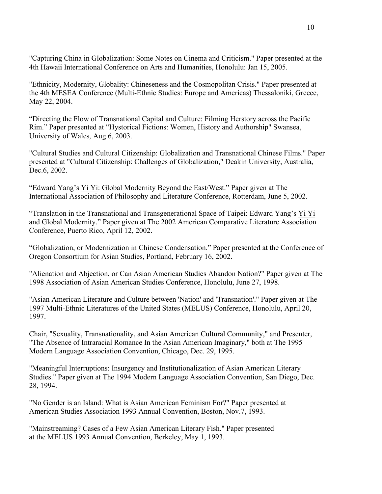"Capturing China in Globalization: Some Notes on Cinema and Criticism." Paper presented at the 4th Hawaii International Conference on Arts and Humanities, Honolulu: Jan 15, 2005.

"Ethnicity, Modernity, Globality: Chineseness and the Cosmopolitan Crisis." Paper presented at the 4th MESEA Conference (Multi-Ethnic Studies: Europe and Americas) Thessaloniki, Greece, May 22, 2004.

"Directing the Flow of Transnational Capital and Culture: Filming Herstory across the Pacific Rim." Paper presented at "Hystorical Fictions: Women, History and Authorship" Swansea, University of Wales, Aug 6, 2003.

"Cultural Studies and Cultural Citizenship: Globalization and Transnational Chinese Films." Paper presented at "Cultural Citizenship: Challenges of Globalization," Deakin University, Australia, Dec.6, 2002.

"Edward Yang's Yi Yi: Global Modernity Beyond the East/West." Paper given at The International Association of Philosophy and Literature Conference, Rotterdam, June 5, 2002.

"Translation in the Transnational and Transgenerational Space of Taipei: Edward Yang's Yi Yi and Global Modernity." Paper given at The 2002 American Comparative Literature Association Conference, Puerto Rico, April 12, 2002.

"Globalization, or Modernization in Chinese Condensation." Paper presented at the Conference of Oregon Consortium for Asian Studies, Portland, February 16, 2002.

"Alienation and Abjection, or Can Asian American Studies Abandon Nation?" Paper given at The 1998 Association of Asian American Studies Conference, Honolulu, June 27, 1998.

"Asian American Literature and Culture between 'Nation' and 'Transnation'." Paper given at The 1997 Multi-Ethnic Literatures of the United States (MELUS) Conference, Honolulu, April 20, 1997.

Chair, "Sexuality, Transnationality, and Asian American Cultural Community," and Presenter, "The Absence of Intraracial Romance In the Asian American Imaginary," both at The 1995 Modern Language Association Convention, Chicago, Dec. 29, 1995.

"Meaningful Interruptions: Insurgency and Institutionalization of Asian American Literary Studies." Paper given at The 1994 Modern Language Association Convention, San Diego, Dec. 28, 1994.

"No Gender is an Island: What is Asian American Feminism For?" Paper presented at American Studies Association 1993 Annual Convention, Boston, Nov.7, 1993.

"Mainstreaming? Cases of a Few Asian American Literary Fish." Paper presented at the MELUS 1993 Annual Convention, Berkeley, May 1, 1993.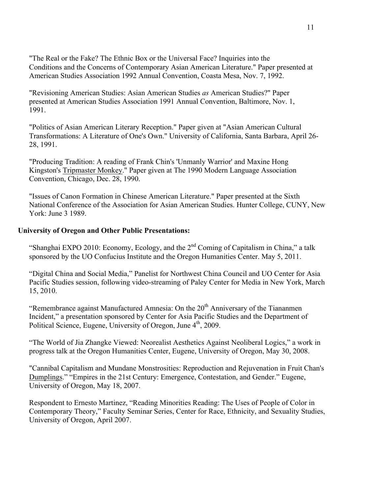"The Real or the Fake? The Ethnic Box or the Universal Face? Inquiries into the Conditions and the Concerns of Contemporary Asian American Literature." Paper presented at American Studies Association 1992 Annual Convention, Coasta Mesa, Nov. 7, 1992.

"Revisioning American Studies: Asian American Studies *as* American Studies?" Paper presented at American Studies Association 1991 Annual Convention, Baltimore, Nov. 1, 1991.

"Politics of Asian American Literary Reception." Paper given at "Asian American Cultural Transformations: A Literature of One's Own." University of California, Santa Barbara, April 26- 28, 1991.

"Producing Tradition: A reading of Frank Chin's 'Unmanly Warrior' and Maxine Hong Kingston's Tripmaster Monkey." Paper given at The 1990 Modern Language Association Convention, Chicago, Dec. 28, 1990.

"Issues of Canon Formation in Chinese American Literature." Paper presented at the Sixth National Conference of the Association for Asian American Studies. Hunter College, CUNY, New York: June 3 1989.

### **University of Oregon and Other Public Presentations:**

"Shanghai EXPO 2010: Economy, Ecology, and the  $2<sup>nd</sup>$  Coming of Capitalism in China," a talk sponsored by the UO Confucius Institute and the Oregon Humanities Center. May 5, 2011.

"Digital China and Social Media," Panelist for Northwest China Council and UO Center for Asia Pacific Studies session, following video-streaming of Paley Center for Media in New York, March 15, 2010.

"Remembrance against Manufactured Amnesia: On the  $20<sup>th</sup>$  Anniversary of the Tiananmen Incident," a presentation sponsored by Center for Asia Pacific Studies and the Department of Political Science, Eugene, University of Oregon, June 4<sup>th</sup>, 2009.

"The World of Jia Zhangke Viewed: Neorealist Aesthetics Against Neoliberal Logics," a work in progress talk at the Oregon Humanities Center, Eugene, University of Oregon, May 30, 2008.

"Cannibal Capitalism and Mundane Monstrosities: Reproduction and Rejuvenation in Fruit Chan's Dumplings." "Empires in the 21st Century: Emergence, Contestation, and Gender." Eugene, University of Oregon, May 18, 2007.

Respondent to Ernesto Martinez, "Reading Minorities Reading: The Uses of People of Color in Contemporary Theory," Faculty Seminar Series, Center for Race, Ethnicity, and Sexuality Studies, University of Oregon, April 2007.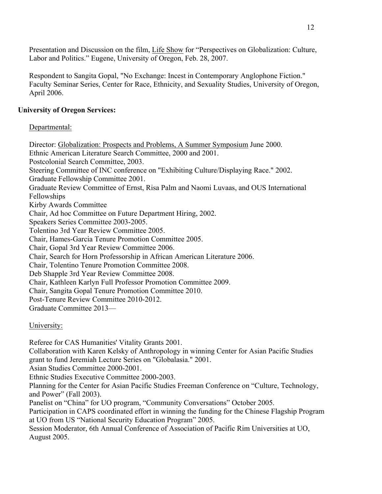Presentation and Discussion on the film, Life Show for "Perspectives on Globalization: Culture, Labor and Politics." Eugene, University of Oregon, Feb. 28, 2007.

Respondent to Sangita Gopal, "No Exchange: Incest in Contemporary Anglophone Fiction." Faculty Seminar Series, Center for Race, Ethnicity, and Sexuality Studies, University of Oregon, April 2006.

## **University of Oregon Services:**

## Departmental:

Director: Globalization: Prospects and Problems, A Summer Symposium June 2000. Ethnic American Literature Search Committee, 2000 and 2001. Postcolonial Search Committee, 2003. Steering Committee of INC conference on "Exhibiting Culture/Displaying Race." 2002. Graduate Fellowship Committee 2001. Graduate Review Committee of Ernst, Risa Palm and Naomi Luvaas, and OUS International Fellowships Kirby Awards Committee Chair, Ad hoc Committee on Future Department Hiring, 2002. Speakers Series Committee 2003-2005. Tolentino 3rd Year Review Committee 2005. Chair, Hames-Garcia Tenure Promotion Committee 2005. Chair, Gopal 3rd Year Review Committee 2006. Chair, Search for Horn Professorship in African American Literature 2006. Chair, Tolentino Tenure Promotion Committee 2008. Deb Shapple 3rd Year Review Committee 2008. Chair, Kathleen Karlyn Full Professor Promotion Committee 2009. Chair, Sangita Gopal Tenure Promotion Committee 2010. Post-Tenure Review Committee 2010-2012. Graduate Committee 2013—

## University:

Referee for CAS Humanities' Vitality Grants 2001. Collaboration with Karen Kelsky of Anthropology in winning Center for Asian Pacific Studies grant to fund Jeremiah Lecture Series on "Globalasia." 2001. Asian Studies Committee 2000-2001. Ethnic Studies Executive Committee 2000-2003. Planning for the Center for Asian Pacific Studies Freeman Conference on "Culture, Technology, and Power" (Fall 2003). Panelist on "China" for UO program, "Community Conversations" October 2005. Participation in CAPS coordinated effort in winning the funding for the Chinese Flagship Program at UO from US "National Security Education Program" 2005. Session Moderator, 6th Annual Conference of Association of Pacific Rim Universities at UO, August 2005.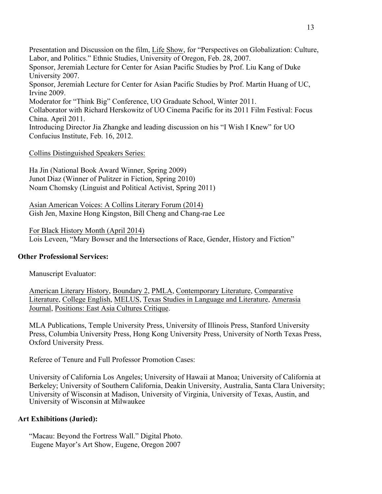Presentation and Discussion on the film, Life Show, for "Perspectives on Globalization: Culture, Labor, and Politics." Ethnic Studies, University of Oregon, Feb. 28, 2007. Sponsor, Jeremiah Lecture for Center for Asian Pacific Studies by Prof. Liu Kang of Duke University 2007. Sponsor, Jeremiah Lecture for Center for Asian Pacific Studies by Prof. Martin Huang of UC, Irvine 2009. Moderator for "Think Big" Conference, UO Graduate School, Winter 2011. Collaborator with Richard Herskowitz of UO Cinema Pacific for its 2011 Film Festival: Focus China. April 2011. Introducing Director Jia Zhangke and leading discussion on his "I Wish I Knew" for UO Confucius Institute, Feb. 16, 2012.

Collins Distinguished Speakers Series:

Ha Jin (National Book Award Winner, Spring 2009) Junot Diaz (Winner of Pulitzer in Fiction, Spring 2010) Noam Chomsky (Linguist and Political Activist, Spring 2011)

Asian American Voices: A Collins Literary Forum (2014) Gish Jen, Maxine Hong Kingston, Bill Cheng and Chang-rae Lee

For Black History Month (April 2014) Lois Leveen, "Mary Bowser and the Intersections of Race, Gender, History and Fiction"

### **Other Professional Services:**

Manuscript Evaluator:

American Literary History, Boundary 2, PMLA, Contemporary Literature, Comparative Literature, College English, MELUS, Texas Studies in Language and Literature, Amerasia Journal, Positions: East Asia Cultures Critique.

MLA Publications, Temple University Press, University of Illinois Press, Stanford University Press, Columbia University Press, Hong Kong University Press, University of North Texas Press, Oxford University Press.

Referee of Tenure and Full Professor Promotion Cases:

University of California Los Angeles; University of Hawaii at Manoa; University of California at Berkeley; University of Southern California, Deakin University, Australia, Santa Clara University; University of Wisconsin at Madison, University of Virginia, University of Texas, Austin, and University of Wisconsin at Milwaukee

### **Art Exhibitions (Juried):**

"Macau: Beyond the Fortress Wall." Digital Photo. Eugene Mayor's Art Show, Eugene, Oregon 2007